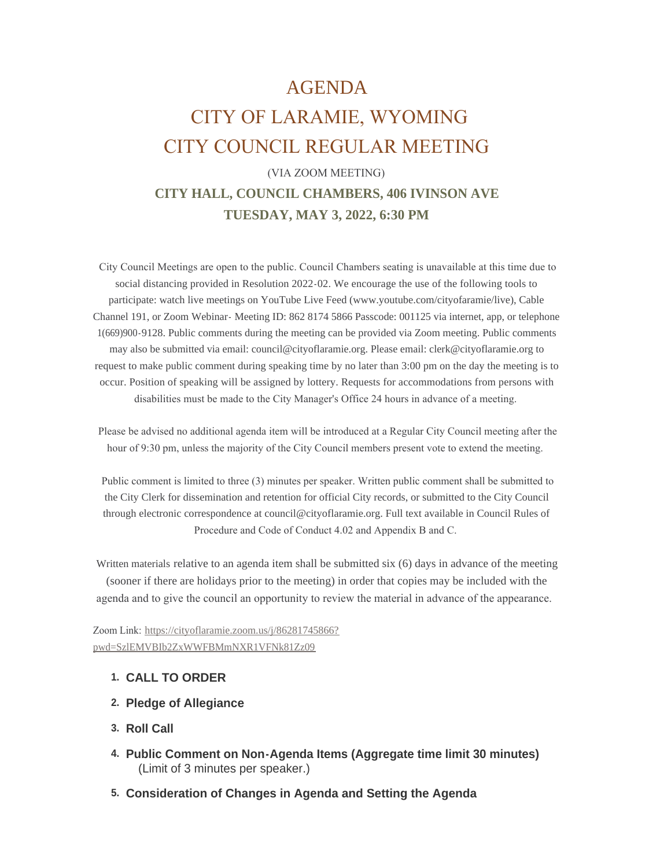# AGENDA

# CITY OF LARAMIE, WYOMING CITY COUNCIL REGULAR MEETING

# (VIA ZOOM MEETING) **CITY HALL, COUNCIL CHAMBERS, 406 IVINSON AVE TUESDAY, MAY 3, 2022, 6:30 PM**

 City Council Meetings are open to the public. Council Chambers seating is unavailable at this time due to social distancing provided in Resolution 2022-02. We encourage the use of the following tools to participate: watch live meetings on YouTube Live Feed (www.youtube.com/cityofaramie/live), Cable Channel 191, or Zoom Webinar- Meeting ID: 862 8174 5866 Passcode: 001125 via internet, app, or telephone 1(669)900-9128. Public comments during the meeting can be provided via Zoom meeting. Public comments may also be submitted via email: council@cityoflaramie.org. Please email: clerk@cityoflaramie.org to request to make public comment during speaking time by no later than 3:00 pm on the day the meeting is to occur. Position of speaking will be assigned by lottery. Requests for accommodations from persons with disabilities must be made to the City Manager's Office 24 hours in advance of a meeting.

 Please be advised no additional agenda item will be introduced at a Regular City Council meeting after the hour of 9:30 pm, unless the majority of the City Council members present vote to extend the meeting.

 Public comment is limited to three (3) minutes per speaker. Written public comment shall be submitted to the City Clerk for dissemination and retention for official City records, or submitted to the City Council through electronic correspondence at council@cityoflaramie.org. Full text available in Council Rules of Procedure and Code of Conduct 4.02 and Appendix B and C.

Written materials relative to an agenda item shall be submitted six (6) days in advance of the meeting (sooner if there are holidays prior to the meeting) in order that copies may be included with the agenda and to give the council an opportunity to review the material in advance of the appearance.

Zoom Link: [https://cityoflaramie.zoom.us/j/86281745866?](https://cityoflaramie.zoom.us/j/86281745866?pwd=SzlEMVBIb2ZxWWFBMmNXR1VFNk81Zz09) pwd=SzlEMVBIb2ZxWWFBMmNXR1VFNk81Zz09

## **CALL TO ORDER 1.**

- **Pledge of Allegiance 2.**
- **Roll Call 3.**
- **Public Comment on Non-Agenda Items (Aggregate time limit 30 minutes) 4.** (Limit of 3 minutes per speaker.)
- **Consideration of Changes in Agenda and Setting the Agenda 5.**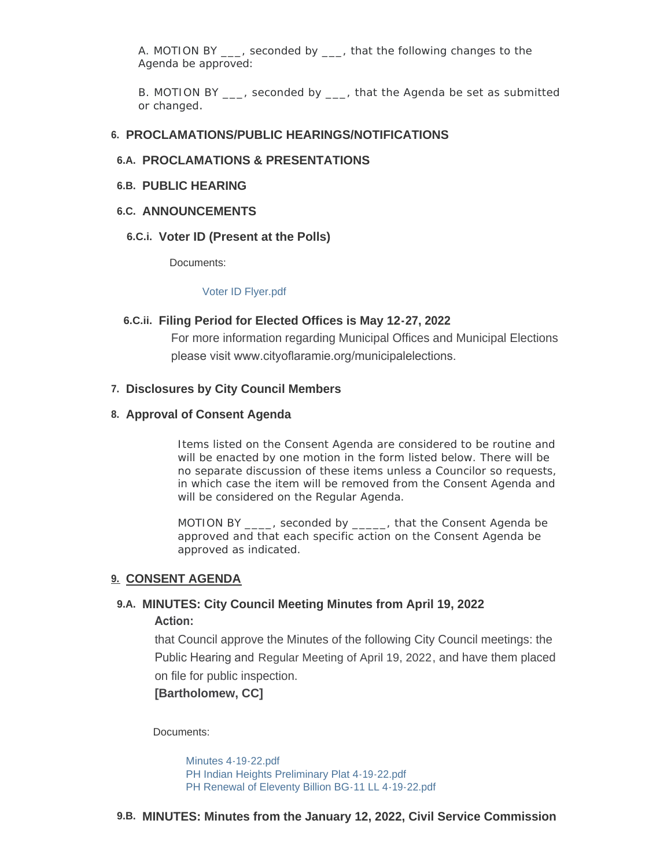A. MOTION BY , seconded by , that the following changes to the Agenda be approved:

B. MOTION BY , seconded by , that the Agenda be set as submitted or changed.

#### **PROCLAMATIONS/PUBLIC HEARINGS/NOTIFICATIONS 6.**

## **PROCLAMATIONS & PRESENTATIONS 6.A.**

#### **PUBLIC HEARING 6.B.**

## **ANNOUNCEMENTS 6.C.**

#### **Voter ID (Present at the Polls) 6.C.i.**

Documents:

#### [Voter ID Flyer.pdf](https://www.cityoflaramie.org/AgendaCenter/ViewFile/Item/12316?fileID=16857)

#### **Filing Period for Elected Offices is May 12-27, 2022 6.C.ii.**

For more information regarding Municipal Offices and Municipal Elections please visit www.cityoflaramie.org/municipalelections.

#### **Disclosures by City Council Members 7.**

#### **Approval of Consent Agenda 8.**

Items listed on the Consent Agenda are considered to be routine and will be enacted by one motion in the form listed below. There will be no separate discussion of these items unless a Councilor so requests, in which case the item will be removed from the Consent Agenda and will be considered on the Regular Agenda.

MOTION BY \_\_\_\_, seconded by \_\_\_\_\_, that the Consent Agenda be approved and that each specific action on the Consent Agenda be approved as indicated.

#### **CONSENT AGENDA 9.**

## **MINUTES: City Council Meeting Minutes from April 19, 2022 9.A. Action:**

that Council approve the Minutes of the following City Council meetings: the Public Hearing and Regular Meeting of April 19, 2022, and have them placed on file for public inspection.

## **[Bartholomew, CC]**

Documents:

[Minutes 4-19-22.pdf](https://www.cityoflaramie.org/AgendaCenter/ViewFile/Item/12308?fileID=16852) [PH Indian Heights Preliminary Plat 4-19-22.pdf](https://www.cityoflaramie.org/AgendaCenter/ViewFile/Item/12308?fileID=16853) [PH Renewal of Eleventy Billion BG-11 LL 4-19-22.pdf](https://www.cityoflaramie.org/AgendaCenter/ViewFile/Item/12308?fileID=16854)

#### **MINUTES: Minutes from the January 12, 2022, Civil Service Commission 9.B.**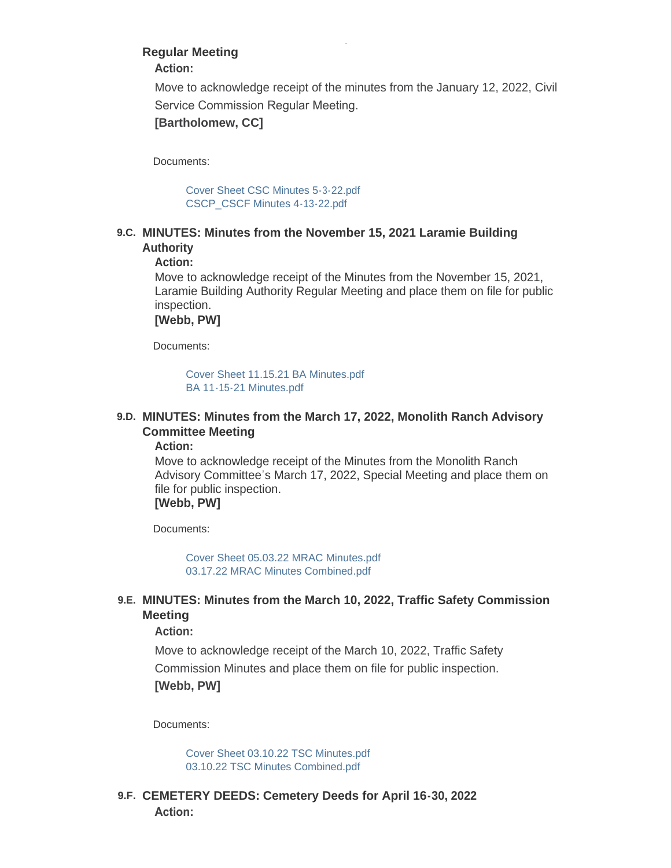## **Regular Meeting**

**Action:** 

Move to acknowledge receipt of the minutes from the January 12, 2022, Civil Service Commission Regular Meeting.

**[Bartholomew, CC]**

Documents:

[Cover Sheet CSC Minutes 5-3-22.pdf](https://www.cityoflaramie.org/AgendaCenter/ViewFile/Item/12318?fileID=16858) [CSCP\\_CSCF Minutes 4-13-22.pdf](https://www.cityoflaramie.org/AgendaCenter/ViewFile/Item/12318?fileID=16859)

## **MINUTES: Minutes from the November 15, 2021 Laramie Building 9.C. Authority**

**Action:**

Move to acknowledge receipt of the Minutes from the November 15, 2021, Laramie Building Authority Regular Meeting and place them on file for public inspection.

**[Webb, PW]**

Documents:

[Cover Sheet 11.15.21 BA Minutes.pdf](https://www.cityoflaramie.org/AgendaCenter/ViewFile/Item/12330?fileID=16891) [BA 11-15-21 Minutes.pdf](https://www.cityoflaramie.org/AgendaCenter/ViewFile/Item/12330?fileID=16892)

## **MINUTES: Minutes from the March 17, 2022, Monolith Ranch Advisory 9.D. Committee Meeting**

**Action:**

Move to acknowledge receipt of the Minutes from the Monolith Ranch Advisory Committee's March 17, 2022, Special Meeting and place them on file for public inspection. **[Webb, PW]**

Documents:

[Cover Sheet 05.03.22 MRAC Minutes.pdf](https://www.cityoflaramie.org/AgendaCenter/ViewFile/Item/12327?fileID=16883) [03.17.22 MRAC Minutes Combined.pdf](https://www.cityoflaramie.org/AgendaCenter/ViewFile/Item/12327?fileID=16884)

## **MINUTES: Minutes from the March 10, 2022, Traffic Safety Commission 9.E. Meeting**

## **Action:**

Move to acknowledge receipt of the March 10, 2022, Traffic Safety Commission Minutes and place them on file for public inspection. **[Webb, PW]**

Documents:

[Cover Sheet 03.10.22 TSC Minutes.pdf](https://www.cityoflaramie.org/AgendaCenter/ViewFile/Item/12328?fileID=16885) [03.10.22 TSC Minutes Combined.pdf](https://www.cityoflaramie.org/AgendaCenter/ViewFile/Item/12328?fileID=16886)

**CEMETERY DEEDS: Cemetery Deeds for April 16-30, 2022 9.F. Action:**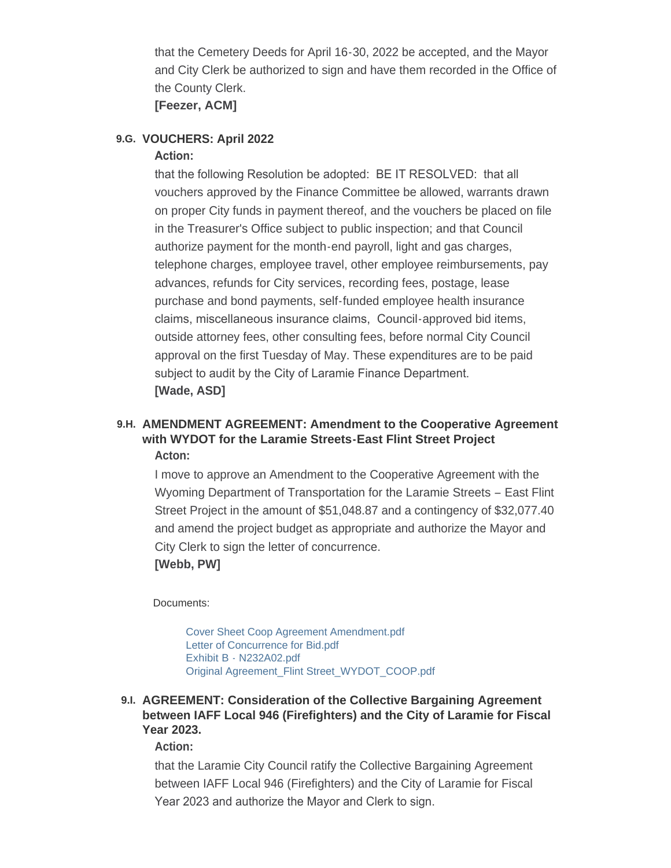that the Cemetery Deeds for April 16-30, 2022 be accepted, and the Mayor and City Clerk be authorized to sign and have them recorded in the Office of the County Clerk.

## **[Feezer, ACM]**

## **VOUCHERS: April 2022 9.G.**

## **Action:**

that the following Resolution be adopted: BE IT RESOLVED: that all vouchers approved by the Finance Committee be allowed, warrants drawn on proper City funds in payment thereof, and the vouchers be placed on file in the Treasurer's Office subject to public inspection; and that Council authorize payment for the month-end payroll, light and gas charges, telephone charges, employee travel, other employee reimbursements, pay advances, refunds for City services, recording fees, postage, lease purchase and bond payments, self-funded employee health insurance claims, miscellaneous insurance claims, Council-approved bid items, outside attorney fees, other consulting fees, before normal City Council approval on the first Tuesday of May. These expenditures are to be paid subject to audit by the City of Laramie Finance Department. **[Wade, ASD]**

## **AMENDMENT AGREEMENT: Amendment to the Cooperative Agreement 9.H. with WYDOT for the Laramie Streets-East Flint Street Project Acton:**

I move to approve an Amendment to the Cooperative Agreement with the Wyoming Department of Transportation for the Laramie Streets – East Flint Street Project in the amount of \$51,048.87 and a contingency of \$32,077.40 and amend the project budget as appropriate and authorize the Mayor and City Clerk to sign the letter of concurrence. **[Webb, PW]**

## Documents:

[Cover Sheet Coop Agreement Amendment.pdf](https://www.cityoflaramie.org/AgendaCenter/ViewFile/Item/12340?fileID=16927) [Letter of Concurrence for Bid.pdf](https://www.cityoflaramie.org/AgendaCenter/ViewFile/Item/12340?fileID=16930) [Exhibit B - N232A02.pdf](https://www.cityoflaramie.org/AgendaCenter/ViewFile/Item/12340?fileID=16929) [Original Agreement\\_Flint Street\\_WYDOT\\_COOP.pdf](https://www.cityoflaramie.org/AgendaCenter/ViewFile/Item/12340?fileID=16928)

## **AGREEMENT: Consideration of the Collective Bargaining Agreement 9.I. between IAFF Local 946 (Firefighters) and the City of Laramie for Fiscal Year 2023.**

## **Action:**

that the Laramie City Council ratify the Collective Bargaining Agreement between IAFF Local 946 (Firefighters) and the City of Laramie for Fiscal Year 2023 and authorize the Mayor and Clerk to sign.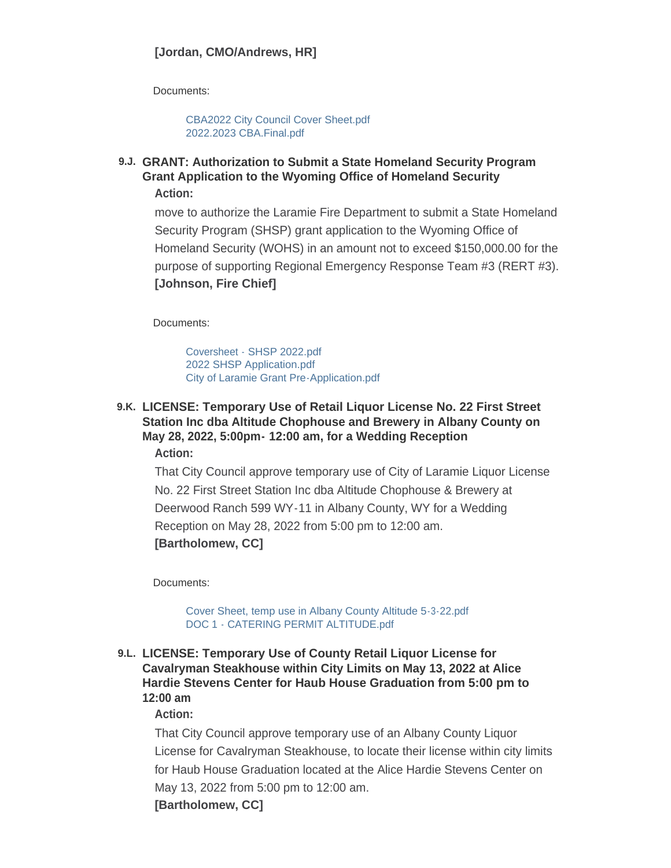Documents:

[CBA2022 City Council Cover Sheet.pdf](https://www.cityoflaramie.org/AgendaCenter/ViewFile/Item/12325?fileID=16937) [2022.2023 CBA.Final.pdf](https://www.cityoflaramie.org/AgendaCenter/ViewFile/Item/12325?fileID=16939)

**GRANT: Authorization to Submit a State Homeland Security Program 9.J. Grant Application to the Wyoming Office of Homeland Security Action:**

move to authorize the Laramie Fire Department to submit a State Homeland Security Program (SHSP) grant application to the Wyoming Office of Homeland Security (WOHS) in an amount not to exceed \$150,000.00 for the purpose of supporting Regional Emergency Response Team #3 (RERT #3). **[Johnson, Fire Chief]**

Documents:

[Coversheet - SHSP 2022.pdf](https://www.cityoflaramie.org/AgendaCenter/ViewFile/Item/12331?fileID=16895) [2022 SHSP Application.pdf](https://www.cityoflaramie.org/AgendaCenter/ViewFile/Item/12331?fileID=16896) [City of Laramie Grant Pre-Application.pdf](https://www.cityoflaramie.org/AgendaCenter/ViewFile/Item/12331?fileID=16897)

## **LICENSE: Temporary Use of Retail Liquor License No. 22 First Street 9.K. Station Inc dba Altitude Chophouse and Brewery in Albany County on May 28, 2022, 5:00pm- 12:00 am, for a Wedding Reception Action:**

That City Council approve temporary use of City of Laramie Liquor License No. 22 First Street Station Inc dba Altitude Chophouse & Brewery at Deerwood Ranch 599 WY-11 in Albany County, WY for a Wedding Reception on May 28, 2022 from 5:00 pm to 12:00 am. **[Bartholomew, CC]**

Documents:

[Cover Sheet, temp use in Albany County Altitude 5-3-22.pdf](https://www.cityoflaramie.org/AgendaCenter/ViewFile/Item/12295?fileID=16906) [DOC 1 - CATERING PERMIT ALTITUDE.pdf](https://www.cityoflaramie.org/AgendaCenter/ViewFile/Item/12295?fileID=16846)

## **LICENSE: Temporary Use of County Retail Liquor License for 9.L. Cavalryman Steakhouse within City Limits on May 13, 2022 at Alice Hardie Stevens Center for Haub House Graduation from 5:00 pm to 12:00 am**

## **Action:**

That City Council approve temporary use of an Albany County Liquor License for Cavalryman Steakhouse, to locate their license within city limits for Haub House Graduation located at the Alice Hardie Stevens Center on May 13, 2022 from 5:00 pm to 12:00 am. **[Bartholomew, CC]**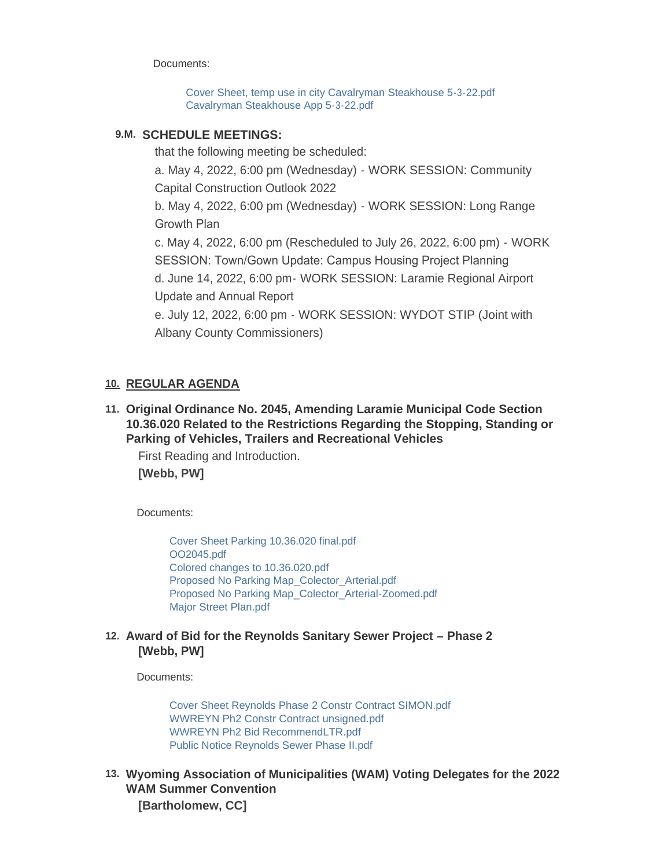Documents:

[Cover Sheet, temp use in city Cavalryman Steakhouse 5-3-22.pdf](https://www.cityoflaramie.org/AgendaCenter/ViewFile/Item/12294?fileID=16907) [Cavalryman Steakhouse App 5-3-22.pdf](https://www.cityoflaramie.org/AgendaCenter/ViewFile/Item/12294?fileID=16843)

## **SCHEDULE MEETINGS: 9.M.**

that the following meeting be scheduled:

a. May 4, 2022, 6:00 pm (Wednesday) - WORK SESSION: Community Capital Construction Outlook 2022

b. May 4, 2022, 6:00 pm (Wednesday) - WORK SESSION: Long Range Growth Plan

c. May 4, 2022, 6:00 pm (Rescheduled to July 26, 2022, 6:00 pm) - WORK SESSION: Town/Gown Update: Campus Housing Project Planning d. June 14, 2022, 6:00 pm- WORK SESSION: Laramie Regional Airport Update and Annual Report

e. July 12, 2022, 6:00 pm - WORK SESSION: WYDOT STIP (Joint with Albany County Commissioners)

## **REGULAR AGENDA 10.**

**Original Ordinance No. 2045, Amending Laramie Municipal Code Section 11. 10.36.020 Related to the Restrictions Regarding the Stopping, Standing or Parking of Vehicles, Trailers and Recreational Vehicles**

First Reading and Introduction. **[Webb, PW]**

Documents:

[Cover Sheet Parking 10.36.020 final.pdf](https://www.cityoflaramie.org/AgendaCenter/ViewFile/Item/12326?fileID=16893) [OO2045.pdf](https://www.cityoflaramie.org/AgendaCenter/ViewFile/Item/12326?fileID=16878) [Colored changes to 10.36.020.pdf](https://www.cityoflaramie.org/AgendaCenter/ViewFile/Item/12326?fileID=16879) [Proposed No Parking Map\\_Colector\\_Arterial.pdf](https://www.cityoflaramie.org/AgendaCenter/ViewFile/Item/12326?fileID=16880) [Proposed No Parking Map\\_Colector\\_Arterial-Zoomed.pdf](https://www.cityoflaramie.org/AgendaCenter/ViewFile/Item/12326?fileID=16881) [Major Street Plan.pdf](https://www.cityoflaramie.org/AgendaCenter/ViewFile/Item/12326?fileID=16882)

## **Award of Bid for the Reynolds Sanitary Sewer Project – Phase 2 12. [Webb, PW]**

Documents:

[Cover Sheet Reynolds Phase 2 Constr Contract SIMON.pdf](https://www.cityoflaramie.org/AgendaCenter/ViewFile/Item/12329?fileID=16926) [WWREYN Ph2 Constr Contract unsigned.pdf](https://www.cityoflaramie.org/AgendaCenter/ViewFile/Item/12329?fileID=16888) [WWREYN Ph2 Bid RecommendLTR.pdf](https://www.cityoflaramie.org/AgendaCenter/ViewFile/Item/12329?fileID=16889) [Public Notice Reynolds Sewer Phase II.pdf](https://www.cityoflaramie.org/AgendaCenter/ViewFile/Item/12329?fileID=16890)

**Wyoming Association of Municipalities (WAM) Voting Delegates for the 2022 13. WAM Summer Convention [Bartholomew, CC]**